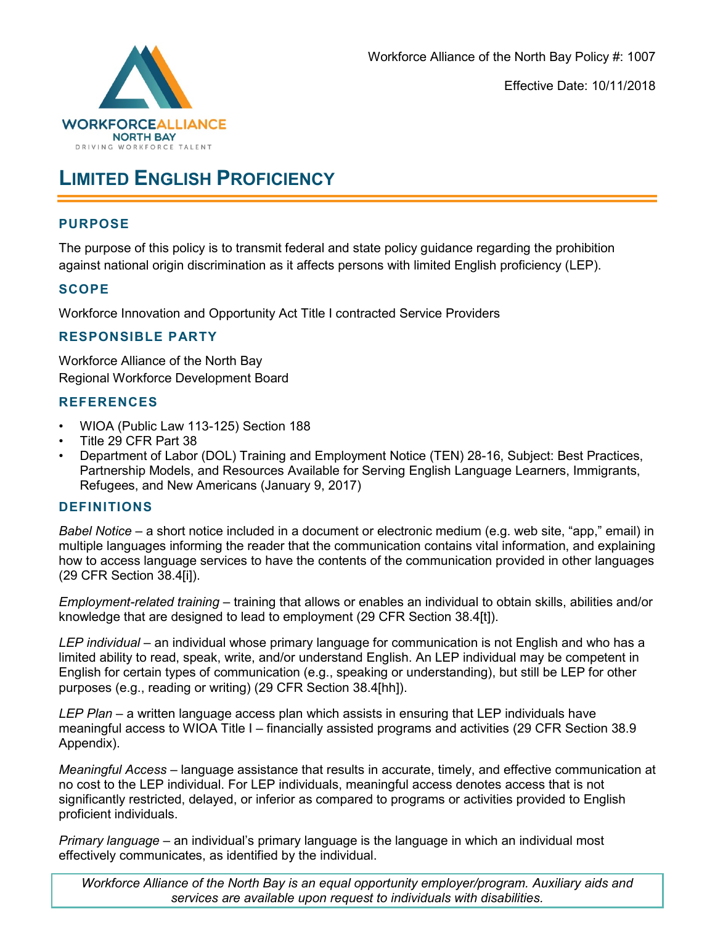

# **LIMITED ENGLISH PROFICIENCY**

## **PURPOSE**

The purpose of this policy is to transmit federal and state policy guidance regarding the prohibition against national origin discrimination as it affects persons with limited English proficiency (LEP).

### **SCOPE**

Workforce Innovation and Opportunity Act Title I contracted Service Providers

## **RESPONSIBLE PARTY**

Workforce Alliance of the North Bay Regional Workforce Development Board

## **REFERENCES**

- WIOA (Public Law 113-125) Section 188
- Title 29 CFR Part 38
- Department of Labor (DOL) Training and Employment Notice (TEN) 28-16, Subject: Best Practices, Partnership Models, and Resources Available for Serving English Language Learners, Immigrants, Refugees, and New Americans (January 9, 2017)

### **DEFINITIONS**

*Babel Notice –* a short notice included in a document or electronic medium (e.g. web site, "app," email) in multiple languages informing the reader that the communication contains vital information, and explaining how to access language services to have the contents of the communication provided in other languages (29 CFR Section 38.4[i]).

*Employment-related training –* training that allows or enables an individual to obtain skills, abilities and/or knowledge that are designed to lead to employment (29 CFR Section 38.4[t]).

*LEP individual –* an individual whose primary language for communication is not English and who has a limited ability to read, speak, write, and/or understand English. An LEP individual may be competent in English for certain types of communication (e.g., speaking or understanding), but still be LEP for other purposes (e.g., reading or writing) (29 CFR Section 38.4[hh]).

*LEP Plan –* a written language access plan which assists in ensuring that LEP individuals have meaningful access to WIOA Title I – financially assisted programs and activities (29 CFR Section 38.9 Appendix).

*Meaningful Access* – language assistance that results in accurate, timely, and effective communication at no cost to the LEP individual. For LEP individuals, meaningful access denotes access that is not significantly restricted, delayed, or inferior as compared to programs or activities provided to English proficient individuals.

*Primary language* – an individual's primary language is the language in which an individual most effectively communicates, as identified by the individual.

*Workforce Alliance of the North Bay is an equal opportunity employer/program. Auxiliary aids and services are available upon request to individuals with disabilities.*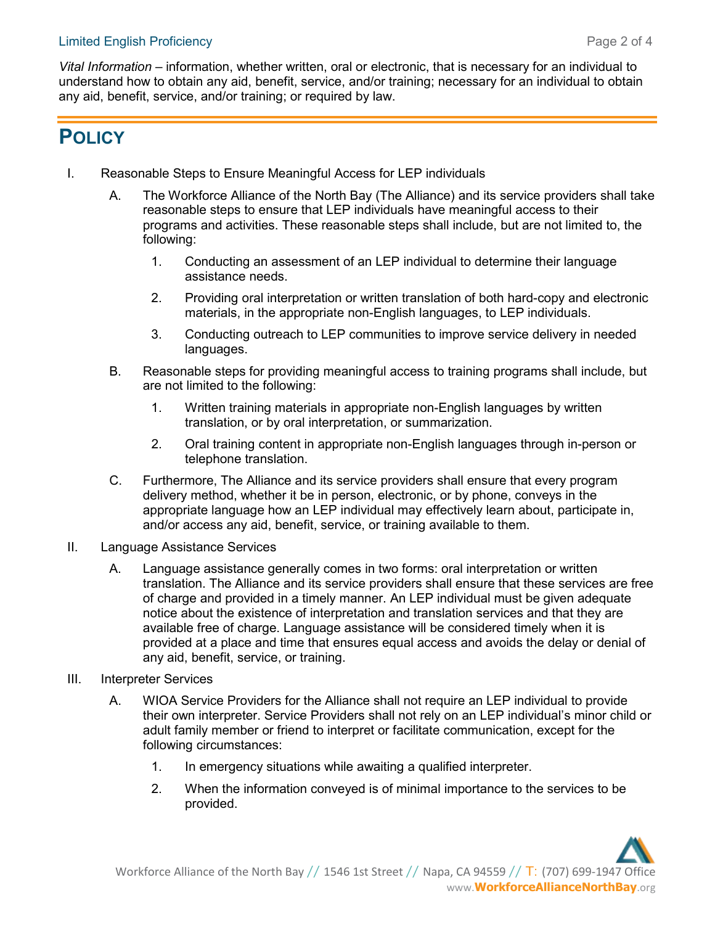*Vital Information* – information, whether written, oral or electronic, that is necessary for an individual to understand how to obtain any aid, benefit, service, and/or training; necessary for an individual to obtain any aid, benefit, service, and/or training; or required by law.

# **POLICY**

- I. Reasonable Steps to Ensure Meaningful Access for LEP individuals
	- A. The Workforce Alliance of the North Bay (The Alliance) and its service providers shall take reasonable steps to ensure that LEP individuals have meaningful access to their programs and activities. These reasonable steps shall include, but are not limited to, the following:
		- 1. Conducting an assessment of an LEP individual to determine their language assistance needs.
		- 2. Providing oral interpretation or written translation of both hard-copy and electronic materials, in the appropriate non-English languages, to LEP individuals.
		- 3. Conducting outreach to LEP communities to improve service delivery in needed languages.
	- B. Reasonable steps for providing meaningful access to training programs shall include, but are not limited to the following:
		- 1. Written training materials in appropriate non-English languages by written translation, or by oral interpretation, or summarization.
		- 2. Oral training content in appropriate non-English languages through in-person or telephone translation.
	- C. Furthermore, The Alliance and its service providers shall ensure that every program delivery method, whether it be in person, electronic, or by phone, conveys in the appropriate language how an LEP individual may effectively learn about, participate in, and/or access any aid, benefit, service, or training available to them.
- II. Language Assistance Services
	- A. Language assistance generally comes in two forms: oral interpretation or written translation. The Alliance and its service providers shall ensure that these services are free of charge and provided in a timely manner. An LEP individual must be given adequate notice about the existence of interpretation and translation services and that they are available free of charge. Language assistance will be considered timely when it is provided at a place and time that ensures equal access and avoids the delay or denial of any aid, benefit, service, or training.
- III. Interpreter Services
	- A. WIOA Service Providers for the Alliance shall not require an LEP individual to provide their own interpreter. Service Providers shall not rely on an LEP individual's minor child or adult family member or friend to interpret or facilitate communication, except for the following circumstances:
		- 1. In emergency situations while awaiting a qualified interpreter.
		- 2. When the information conveyed is of minimal importance to the services to be provided.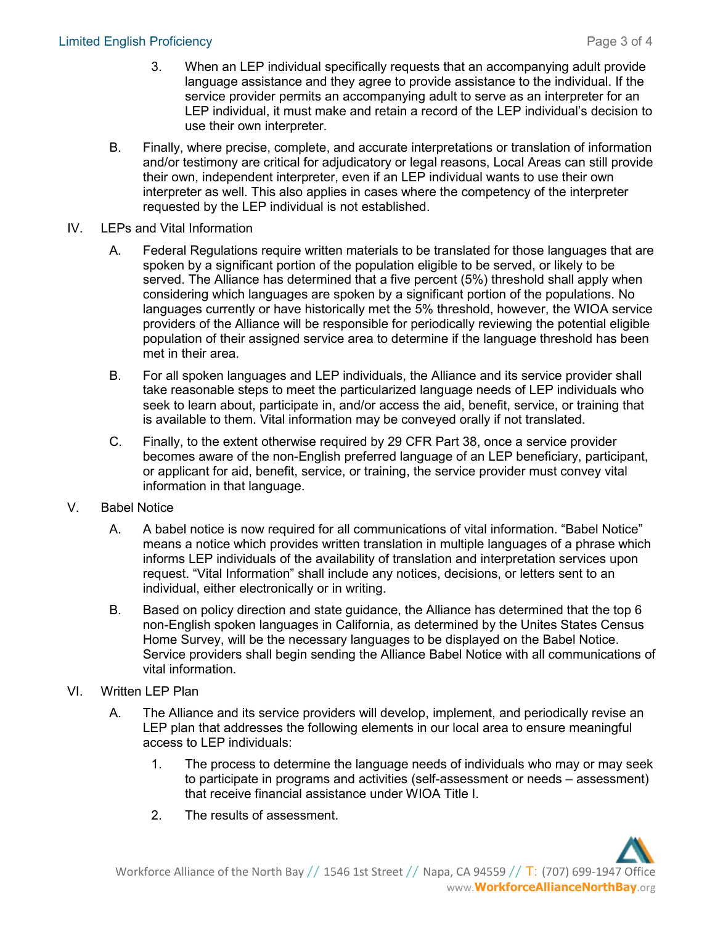- 3. When an LEP individual specifically requests that an accompanying adult provide language assistance and they agree to provide assistance to the individual. If the service provider permits an accompanying adult to serve as an interpreter for an LEP individual, it must make and retain a record of the LEP individual's decision to use their own interpreter.
- B. Finally, where precise, complete, and accurate interpretations or translation of information and/or testimony are critical for adjudicatory or legal reasons, Local Areas can still provide their own, independent interpreter, even if an LEP individual wants to use their own interpreter as well. This also applies in cases where the competency of the interpreter requested by the LEP individual is not established.
- IV. LEPs and Vital Information
	- A. Federal Regulations require written materials to be translated for those languages that are spoken by a significant portion of the population eligible to be served, or likely to be served. The Alliance has determined that a five percent (5%) threshold shall apply when considering which languages are spoken by a significant portion of the populations. No languages currently or have historically met the 5% threshold, however, the WIOA service providers of the Alliance will be responsible for periodically reviewing the potential eligible population of their assigned service area to determine if the language threshold has been met in their area.
	- B. For all spoken languages and LEP individuals, the Alliance and its service provider shall take reasonable steps to meet the particularized language needs of LEP individuals who seek to learn about, participate in, and/or access the aid, benefit, service, or training that is available to them. Vital information may be conveyed orally if not translated.
	- C. Finally, to the extent otherwise required by 29 CFR Part 38, once a service provider becomes aware of the non-English preferred language of an LEP beneficiary, participant, or applicant for aid, benefit, service, or training, the service provider must convey vital information in that language.
- V. Babel Notice
	- A. A babel notice is now required for all communications of vital information. "Babel Notice" means a notice which provides written translation in multiple languages of a phrase which informs LEP individuals of the availability of translation and interpretation services upon request. "Vital Information" shall include any notices, decisions, or letters sent to an individual, either electronically or in writing.
	- B. Based on policy direction and state guidance, the Alliance has determined that the top 6 non-English spoken languages in California, as determined by the Unites States Census Home Survey, will be the necessary languages to be displayed on the Babel Notice. Service providers shall begin sending the Alliance Babel Notice with all communications of vital information.
- VI. Written LEP Plan
	- A. The Alliance and its service providers will develop, implement, and periodically revise an LEP plan that addresses the following elements in our local area to ensure meaningful access to LEP individuals:
		- 1. The process to determine the language needs of individuals who may or may seek to participate in programs and activities (self-assessment or needs – assessment) that receive financial assistance under WIOA Title I.
		- 2. The results of assessment.